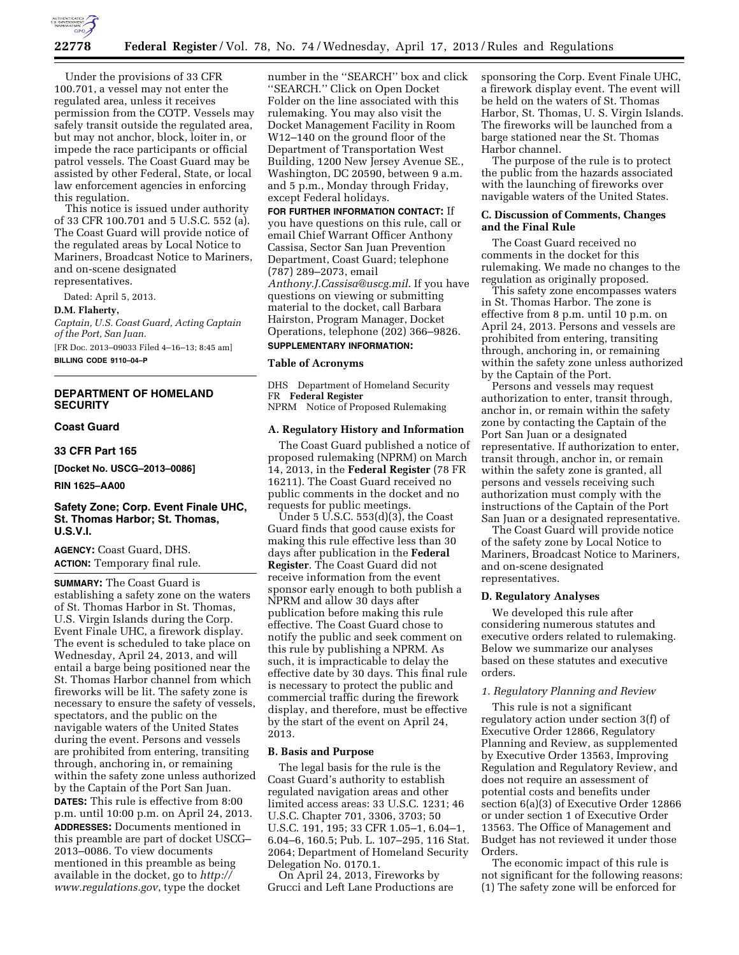

Under the provisions of 33 CFR 100.701, a vessel may not enter the regulated area, unless it receives permission from the COTP. Vessels may safely transit outside the regulated area, but may not anchor, block, loiter in, or impede the race participants or official patrol vessels. The Coast Guard may be assisted by other Federal, State, or local law enforcement agencies in enforcing this regulation.

This notice is issued under authority of 33 CFR 100.701 and 5 U.S.C. 552 (a). The Coast Guard will provide notice of the regulated areas by Local Notice to Mariners, Broadcast Notice to Mariners, and on-scene designated representatives.

Dated: April 5, 2013.

#### **D.M. Flaherty,**

*Captain, U.S. Coast Guard, Acting Captain of the Port, San Juan.* 

[FR Doc. 2013–09033 Filed 4–16–13; 8:45 am] **BILLING CODE 9110–04–P** 

## **DEPARTMENT OF HOMELAND SECURITY**

## **Coast Guard**

#### **33 CFR Part 165**

**[Docket No. USCG–2013–0086]** 

**RIN 1625–AA00** 

## **Safety Zone; Corp. Event Finale UHC, St. Thomas Harbor; St. Thomas, U.S.V.I.**

**AGENCY:** Coast Guard, DHS. **ACTION:** Temporary final rule.

**SUMMARY:** The Coast Guard is establishing a safety zone on the waters of St. Thomas Harbor in St. Thomas, U.S. Virgin Islands during the Corp. Event Finale UHC, a firework display. The event is scheduled to take place on Wednesday, April 24, 2013, and will entail a barge being positioned near the St. Thomas Harbor channel from which fireworks will be lit. The safety zone is necessary to ensure the safety of vessels, spectators, and the public on the navigable waters of the United States during the event. Persons and vessels are prohibited from entering, transiting through, anchoring in, or remaining within the safety zone unless authorized by the Captain of the Port San Juan. **DATES:** This rule is effective from 8:00 p.m. until 10:00 p.m. on April 24, 2013. **ADDRESSES:** Documents mentioned in this preamble are part of docket USCG– 2013–0086. To view documents mentioned in this preamble as being available in the docket, go to *[http://](http://www.regulations.gov) [www.regulations.gov](http://www.regulations.gov)*, type the docket

number in the ''SEARCH'' box and click ''SEARCH.'' Click on Open Docket Folder on the line associated with this rulemaking. You may also visit the Docket Management Facility in Room W12–140 on the ground floor of the Department of Transportation West Building, 1200 New Jersey Avenue SE., Washington, DC 20590, between 9 a.m. and 5 p.m., Monday through Friday, except Federal holidays.

**FOR FURTHER INFORMATION CONTACT:** If you have questions on this rule, call or email Chief Warrant Officer Anthony Cassisa, Sector San Juan Prevention Department, Coast Guard; telephone (787) 289–2073, email *[Anthony.J.Cassisa@uscg.mil](mailto:Anthony.J.Cassisa@uscg.mil)*. If you have questions on viewing or submitting material to the docket, call Barbara Hairston, Program Manager, Docket Operations, telephone (202) 366–9826. **SUPPLEMENTARY INFORMATION:** 

# **Table of Acronyms**

DHS Department of Homeland Security FR **Federal Register** 

NPRM Notice of Proposed Rulemaking

## **A. Regulatory History and Information**

The Coast Guard published a notice of proposed rulemaking (NPRM) on March 14, 2013, in the **Federal Register** (78 FR 16211). The Coast Guard received no public comments in the docket and no requests for public meetings.

Under 5 U.S.C. 553(d)(3), the Coast Guard finds that good cause exists for making this rule effective less than 30 days after publication in the **Federal Register**. The Coast Guard did not receive information from the event sponsor early enough to both publish a NPRM and allow 30 days after publication before making this rule effective. The Coast Guard chose to notify the public and seek comment on this rule by publishing a NPRM. As such, it is impracticable to delay the effective date by 30 days. This final rule is necessary to protect the public and commercial traffic during the firework display, and therefore, must be effective by the start of the event on April 24, 2013.

## **B. Basis and Purpose**

The legal basis for the rule is the Coast Guard's authority to establish regulated navigation areas and other limited access areas: 33 U.S.C. 1231; 46 U.S.C. Chapter 701, 3306, 3703; 50 U.S.C. 191, 195; 33 CFR 1.05–1, 6.04–1, 6.04–6, 160.5; Pub. L. 107–295, 116 Stat. 2064; Department of Homeland Security Delegation No. 0170.1.

On April 24, 2013, Fireworks by Grucci and Left Lane Productions are sponsoring the Corp. Event Finale UHC, a firework display event. The event will be held on the waters of St. Thomas Harbor, St. Thomas, U. S. Virgin Islands. The fireworks will be launched from a barge stationed near the St. Thomas Harbor channel.

The purpose of the rule is to protect the public from the hazards associated with the launching of fireworks over navigable waters of the United States.

#### **C. Discussion of Comments, Changes and the Final Rule**

The Coast Guard received no comments in the docket for this rulemaking. We made no changes to the regulation as originally proposed.

This safety zone encompasses waters in St. Thomas Harbor. The zone is effective from 8 p.m. until 10 p.m. on April 24, 2013. Persons and vessels are prohibited from entering, transiting through, anchoring in, or remaining within the safety zone unless authorized by the Captain of the Port.

Persons and vessels may request authorization to enter, transit through, anchor in, or remain within the safety zone by contacting the Captain of the Port San Juan or a designated representative. If authorization to enter, transit through, anchor in, or remain within the safety zone is granted, all persons and vessels receiving such authorization must comply with the instructions of the Captain of the Port San Juan or a designated representative.

The Coast Guard will provide notice of the safety zone by Local Notice to Mariners, Broadcast Notice to Mariners, and on-scene designated representatives.

#### **D. Regulatory Analyses**

We developed this rule after considering numerous statutes and executive orders related to rulemaking. Below we summarize our analyses based on these statutes and executive orders.

## *1. Regulatory Planning and Review*

This rule is not a significant regulatory action under section 3(f) of Executive Order 12866, Regulatory Planning and Review, as supplemented by Executive Order 13563, Improving Regulation and Regulatory Review, and does not require an assessment of potential costs and benefits under section 6(a)(3) of Executive Order 12866 or under section 1 of Executive Order 13563. The Office of Management and Budget has not reviewed it under those Orders.

The economic impact of this rule is not significant for the following reasons: (1) The safety zone will be enforced for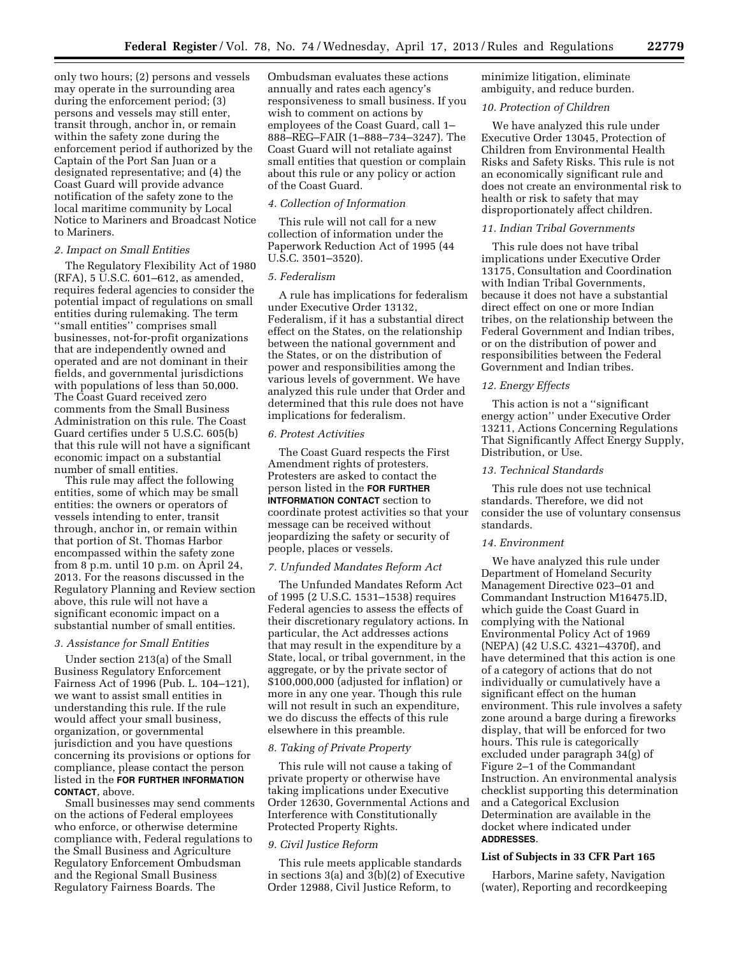only two hours; (2) persons and vessels may operate in the surrounding area during the enforcement period; (3) persons and vessels may still enter, transit through, anchor in, or remain within the safety zone during the enforcement period if authorized by the Captain of the Port San Juan or a designated representative; and (4) the Coast Guard will provide advance notification of the safety zone to the local maritime community by Local Notice to Mariners and Broadcast Notice to Mariners.

## *2. Impact on Small Entities*

The Regulatory Flexibility Act of 1980  $(RFA)$ , 5 U.S.C.  $601-612$ , as amended, requires federal agencies to consider the potential impact of regulations on small entities during rulemaking. The term ''small entities'' comprises small businesses, not-for-profit organizations that are independently owned and operated and are not dominant in their fields, and governmental jurisdictions with populations of less than 50,000. The Coast Guard received zero comments from the Small Business Administration on this rule. The Coast Guard certifies under 5 U.S.C. 605(b) that this rule will not have a significant economic impact on a substantial number of small entities.

This rule may affect the following entities, some of which may be small entities: the owners or operators of vessels intending to enter, transit through, anchor in, or remain within that portion of St. Thomas Harbor encompassed within the safety zone from 8 p.m. until 10 p.m. on April 24, 2013. For the reasons discussed in the Regulatory Planning and Review section above, this rule will not have a significant economic impact on a substantial number of small entities.

### *3. Assistance for Small Entities*

Under section 213(a) of the Small Business Regulatory Enforcement Fairness Act of 1996 (Pub. L. 104–121), we want to assist small entities in understanding this rule. If the rule would affect your small business, organization, or governmental jurisdiction and you have questions concerning its provisions or options for compliance, please contact the person listed in the **FOR FURTHER INFORMATION CONTACT**, above.

Small businesses may send comments on the actions of Federal employees who enforce, or otherwise determine compliance with, Federal regulations to the Small Business and Agriculture Regulatory Enforcement Ombudsman and the Regional Small Business Regulatory Fairness Boards. The

Ombudsman evaluates these actions annually and rates each agency's responsiveness to small business. If you wish to comment on actions by employees of the Coast Guard, call 1– 888–REG–FAIR (1–888–734–3247). The Coast Guard will not retaliate against small entities that question or complain about this rule or any policy or action of the Coast Guard.

## *4. Collection of Information*

This rule will not call for a new collection of information under the Paperwork Reduction Act of 1995 (44 U.S.C. 3501–3520).

#### *5. Federalism*

A rule has implications for federalism under Executive Order 13132, Federalism, if it has a substantial direct effect on the States, on the relationship between the national government and the States, or on the distribution of power and responsibilities among the various levels of government. We have analyzed this rule under that Order and determined that this rule does not have implications for federalism.

#### *6. Protest Activities*

The Coast Guard respects the First Amendment rights of protesters. Protesters are asked to contact the person listed in the **FOR FURTHER INTFORMATION CONTACT** section to coordinate protest activities so that your message can be received without jeopardizing the safety or security of people, places or vessels.

#### *7. Unfunded Mandates Reform Act*

The Unfunded Mandates Reform Act of 1995 (2 U.S.C. 1531–1538) requires Federal agencies to assess the effects of their discretionary regulatory actions. In particular, the Act addresses actions that may result in the expenditure by a State, local, or tribal government, in the aggregate, or by the private sector of \$100,000,000 (adjusted for inflation) or more in any one year. Though this rule will not result in such an expenditure, we do discuss the effects of this rule elsewhere in this preamble.

## *8. Taking of Private Property*

This rule will not cause a taking of private property or otherwise have taking implications under Executive Order 12630, Governmental Actions and Interference with Constitutionally Protected Property Rights.

#### *9. Civil Justice Reform*

This rule meets applicable standards in sections 3(a) and 3(b)(2) of Executive Order 12988, Civil Justice Reform, to

minimize litigation, eliminate ambiguity, and reduce burden.

## *10. Protection of Children*

We have analyzed this rule under Executive Order 13045, Protection of Children from Environmental Health Risks and Safety Risks. This rule is not an economically significant rule and does not create an environmental risk to health or risk to safety that may disproportionately affect children.

#### *11. Indian Tribal Governments*

This rule does not have tribal implications under Executive Order 13175, Consultation and Coordination with Indian Tribal Governments, because it does not have a substantial direct effect on one or more Indian tribes, on the relationship between the Federal Government and Indian tribes, or on the distribution of power and responsibilities between the Federal Government and Indian tribes.

## *12. Energy Effects*

This action is not a ''significant energy action'' under Executive Order 13211, Actions Concerning Regulations That Significantly Affect Energy Supply, Distribution, or Use.

## *13. Technical Standards*

This rule does not use technical standards. Therefore, we did not consider the use of voluntary consensus standards.

## *14. Environment*

We have analyzed this rule under Department of Homeland Security Management Directive 023–01 and Commandant Instruction M16475.lD, which guide the Coast Guard in complying with the National Environmental Policy Act of 1969 (NEPA) (42 U.S.C. 4321–4370f), and have determined that this action is one of a category of actions that do not individually or cumulatively have a significant effect on the human environment. This rule involves a safety zone around a barge during a fireworks display, that will be enforced for two hours. This rule is categorically excluded under paragraph 34(g) of Figure 2–1 of the Commandant Instruction. An environmental analysis checklist supporting this determination and a Categorical Exclusion Determination are available in the docket where indicated under **ADDRESSES**.

## **List of Subjects in 33 CFR Part 165**

Harbors, Marine safety, Navigation (water), Reporting and recordkeeping